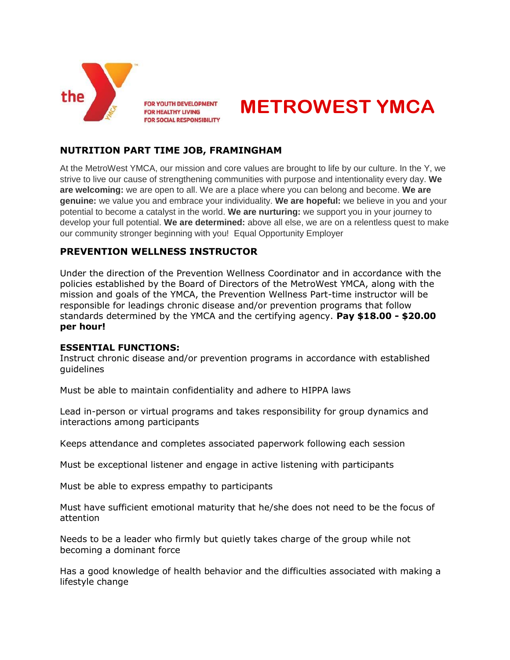

FOR YOUTH DEVELOPMENT **FOR HEALTHY LIVING FOR SOCIAL RESPONSIBILITY** 



# **NUTRITION PART TIME JOB, FRAMINGHAM**

At the MetroWest YMCA, our mission and core values are brought to life by our culture. In the Y, we strive to live our cause of strengthening communities with purpose and intentionality every day. **We are welcoming:** we are open to all. We are a place where you can belong and become. **We are genuine:** we value you and embrace your individuality. **We are hopeful:** we believe in you and your potential to become a catalyst in the world. **We are nurturing:** we support you in your journey to develop your full potential. **We are determined:** above all else, we are on a relentless quest to make our community stronger beginning with you! Equal Opportunity Employer

# **PREVENTION WELLNESS INSTRUCTOR**

Under the direction of the Prevention Wellness Coordinator and in accordance with the policies established by the Board of Directors of the MetroWest YMCA, along with the mission and goals of the YMCA, the Prevention Wellness Part-time instructor will be responsible for leadings chronic disease and/or prevention programs that follow standards determined by the YMCA and the certifying agency. **Pay \$18.00 - \$20.00 per hour!**

## **ESSENTIAL FUNCTIONS:**

Instruct chronic disease and/or prevention programs in accordance with established guidelines

Must be able to maintain confidentiality and adhere to HIPPA laws

Lead in-person or virtual programs and takes responsibility for group dynamics and interactions among participants

Keeps attendance and completes associated paperwork following each session

Must be exceptional listener and engage in active listening with participants

Must be able to express empathy to participants

Must have sufficient emotional maturity that he/she does not need to be the focus of attention

Needs to be a leader who firmly but quietly takes charge of the group while not becoming a dominant force

Has a good knowledge of health behavior and the difficulties associated with making a lifestyle change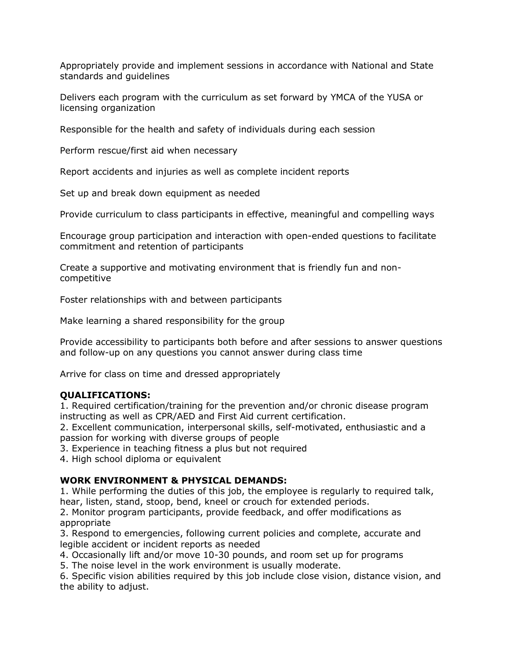Appropriately provide and implement sessions in accordance with National and State standards and guidelines

Delivers each program with the curriculum as set forward by YMCA of the YUSA or licensing organization

Responsible for the health and safety of individuals during each session

Perform rescue/first aid when necessary

Report accidents and injuries as well as complete incident reports

Set up and break down equipment as needed

Provide curriculum to class participants in effective, meaningful and compelling ways

Encourage group participation and interaction with open-ended questions to facilitate commitment and retention of participants

Create a supportive and motivating environment that is friendly fun and noncompetitive

Foster relationships with and between participants

Make learning a shared responsibility for the group

Provide accessibility to participants both before and after sessions to answer questions and follow-up on any questions you cannot answer during class time

Arrive for class on time and dressed appropriately

## **QUALIFICATIONS:**

1. Required certification/training for the prevention and/or chronic disease program instructing as well as CPR/AED and First Aid current certification.

2. Excellent communication, interpersonal skills, self-motivated, enthusiastic and a passion for working with diverse groups of people

3. Experience in teaching fitness a plus but not required

4. High school diploma or equivalent

### **WORK ENVIRONMENT & PHYSICAL DEMANDS:**

1. While performing the duties of this job, the employee is regularly to required talk, hear, listen, stand, stoop, bend, kneel or crouch for extended periods.

2. Monitor program participants, provide feedback, and offer modifications as appropriate

3. Respond to emergencies, following current policies and complete, accurate and legible accident or incident reports as needed

4. Occasionally lift and/or move 10-30 pounds, and room set up for programs

5. The noise level in the work environment is usually moderate.

6. Specific vision abilities required by this job include close vision, distance vision, and the ability to adjust.